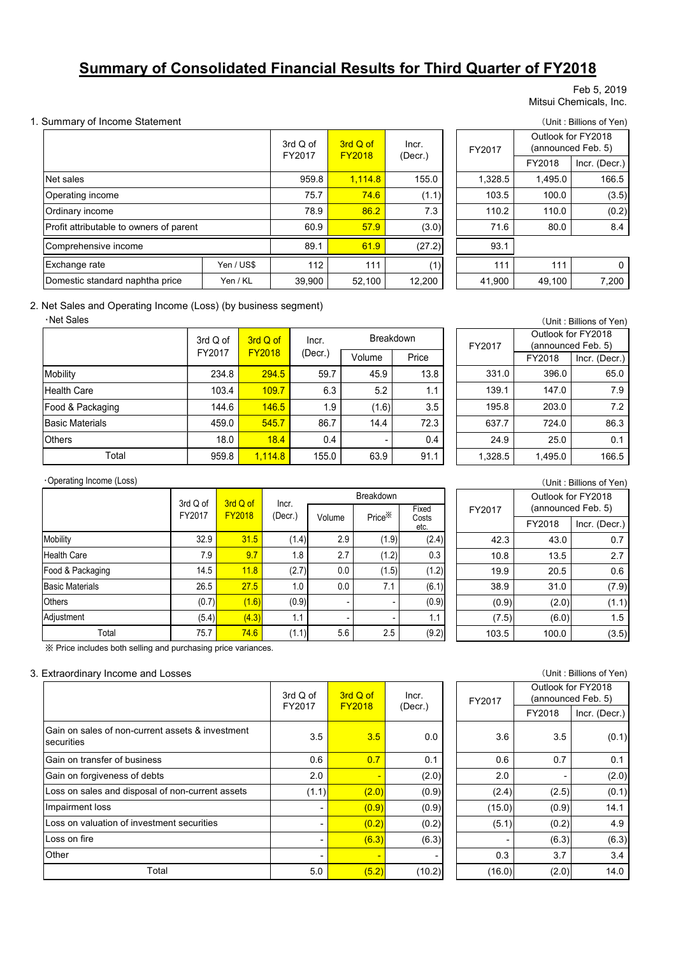# **Summary of Consolidated Financial Results for Third Quarter of FY2018**

#### Feb 5, 2019 Mitsui Chemicals, Inc.

#### 1. Summary of Income Statement (Unit : Billions of Yen)

|                                         |            | 3rd Q of<br>FY2017 | 3rd Q of<br><b>FY2018</b> | Incr.<br>(Decr.) | FY2017  |
|-----------------------------------------|------------|--------------------|---------------------------|------------------|---------|
| Net sales                               |            | 959.8              | 1,114.8                   | 155.0            | 1,328.5 |
| Operating income                        |            | 75.7               | 74.6                      | (1.1)            | 103.5   |
| Ordinary income                         |            | 78.9               | 86.2                      | 7.3              | 110.2   |
| Profit attributable to owners of parent |            | 60.9               | 57.9                      | (3.0)            | 71.6    |
| Comprehensive income                    |            | 89.1               | 61.9                      | (27.2)           | 93.1    |
| Exchange rate                           | Yen / US\$ | 112                | 111                       | (1)              | 111     |
| Domestic standard naphtha price         | Yen / KL   | 39,900             | 52,100                    | 12,200           | 41,900  |

| Q of<br>2017 | 3rd Q of<br><b>FY2018</b> | Incr.<br>(Decr.) |  | FY2017  |         | Outlook for FY2018<br>(announced Feb. 5) |
|--------------|---------------------------|------------------|--|---------|---------|------------------------------------------|
|              |                           |                  |  |         | FY2018  | Incr. (Decr.)                            |
| 959.8        | 1,114.8                   | 155.0            |  | 1,328.5 | 1,495.0 | 166.5                                    |
| 75.7         | 74.6                      | (1.1)            |  | 103.5   | 100.0   | (3.5)                                    |
| 78.9         | 86.2                      | 7.3              |  | 110.2   | 110.0   | (0.2)                                    |
| 60.9         | 57.9                      | (3.0)            |  | 71.6    | 80.0    | 8.4                                      |
| 89.1         | 61.9                      | (27.2)           |  | 93.1    |         |                                          |
| 112          | 111                       | (1)              |  | 111     | 111     | 0                                        |
| 39,900       | 52,100                    | 12,200           |  | 41,900  | 49,100  | 7,200                                    |

## 2. Net Sales and Operating Income (Loss) (by business segment)

## ・Net Sales

|                        | 3rd Q of | 3rd Q of      | Incr.   | <b>Breakdown</b> |       |
|------------------------|----------|---------------|---------|------------------|-------|
|                        | FY2017   | <b>FY2018</b> | (Decr.) | Volume           | Price |
| Mobility               | 234.8    | 294.5         | 59.7    | 45.9             | 13.8  |
| <b>Health Care</b>     | 103.4    | 109.7         | 6.3     | 5.2              | 1.1   |
| Food & Packaging       | 144.6    | 146.5         | 1.9     | (1.6)            | 3.5   |
| <b>Basic Materials</b> | 459.0    | 545.7         | 86.7    | 14.4             | 72.3  |
| <b>Others</b>          | 18.0     | 18.4          | 0.4     |                  | 0.4   |
| Total                  | 959.8    | 1,114.8       | 155.0   | 63.9             | 91.1  |

| (Unit: Billions of Yen) |         |                    |  |  |  |  |
|-------------------------|---------|--------------------|--|--|--|--|
|                         |         | Outlook for FY2018 |  |  |  |  |
| FY2017                  |         | (announced Feb. 5) |  |  |  |  |
|                         | FY2018  | Incr. (Decr.)      |  |  |  |  |
| 331.0                   | 396.0   | 65.0               |  |  |  |  |
| 139.1                   | 147.0   | 7.9                |  |  |  |  |
| 195.8                   | 203.0   | 7.2                |  |  |  |  |
| 637.7                   | 724.0   | 86.3               |  |  |  |  |
| 24.9                    | 25.0    | 0.1                |  |  |  |  |
| 1,328.5                 | 1,495.0 | 166.5              |  |  |  |  |

#### ・Operating Income (Loss)

|                        |                                                 |       |                  |        | <b>Breakdown</b>   |                        |  |
|------------------------|-------------------------------------------------|-------|------------------|--------|--------------------|------------------------|--|
|                        | 3rd Q of<br>3rd Q of<br>FY2017<br><b>FY2018</b> |       | Incr.<br>(Decr.) | Volume | Price <sup>*</sup> | Fixed<br>Costs<br>etc. |  |
| Mobility               | 32.9                                            | 31.5  | (1.4)            | 2.9    | (1.9)              | (2.4)                  |  |
| <b>Health Care</b>     | 7.9                                             | 9.7   | 1.8              | 2.7    | (1.2)              | 0.3                    |  |
| Food & Packaging       | 14.5                                            | 11.8  | (2.7)            | 0.0    | (1.5)              | (1.2)                  |  |
| <b>Basic Materials</b> | 26.5                                            | 27.5  | 1.0              | 0.0    | 7.1                | (6.1)                  |  |
| Others                 | (0.7)                                           | (1.6) | (0.9)            | ٠      | ٠                  | (0.9)                  |  |
| Adjustment             | (5.4)                                           | (4.3) | 1.1              | ٠      |                    | 1.1                    |  |
| Total                  | 75.7                                            | 74.6  | (1.1)            | 5.6    | 2.5                | (9.2)                  |  |

※ Price includes both selling and purchasing price variances.

## 3. Extraordinary Income and Losses (Unit : Billions of Yen)

|                                                                | 3rd Q of<br>FY2017 | 3rd Q of<br><b>FY2018</b> | Incr.<br>(Decr.) |
|----------------------------------------------------------------|--------------------|---------------------------|------------------|
| Gain on sales of non-current assets & investment<br>securities | 3.5                | 3.5                       | 0.0              |
| Gain on transfer of business                                   | 0.6                | 0.7                       | 0.1              |
| Gain on forgiveness of debts                                   | 2.0                | ٠                         | (2.0)            |
| Loss on sales and disposal of non-current assets               | (1.1)              | (2.0)                     | (0.9)            |
| Impairment loss                                                |                    | (0.9)                     | (0.9)            |
| Loss on valuation of investment securities                     |                    | (0.2)                     | (0.2)            |
| Loss on fire                                                   |                    | (6.3)                     | (6.3)            |
| Other                                                          | -                  | $\blacksquare$            |                  |
| Total                                                          | 5.0                | (5.2)                     | (10.2)           |

(Unit : Billions of Yen)

FY2018 Incr. (Decr.)

Outlook for FY2018 (announced Feb. 5)

42.3 43.0 0.7 10.8 13.5 2.7 19.9 20.5 0.6 38.9 31.0 (7.9)  $(0.9)$   $(2.0)$   $(1.1)$  $(7.5)$   $(6.0)$  1.5 103.5 100.0 (3.5)

FY2017

| of                       | 3rd Q of                 | Incr.   |        | Outlook for FY2018<br>(announced Feb. 5) |               |  |
|--------------------------|--------------------------|---------|--------|------------------------------------------|---------------|--|
| 17                       | <b>FY2018</b>            | (Decr.) |        | FY2018                                   | Incr. (Decr.) |  |
| 3.5                      | 3.5                      | 0.0     | 3.6    | 3.5                                      | (0.1)         |  |
| 0.6                      | 0.7                      | 0.1     | 0.6    | 0.7                                      | 0.1           |  |
| 2.0                      | $\overline{\phantom{0}}$ | (2.0)   | 2.0    | ٠                                        | (2.0)         |  |
| (1.1)                    | (2.0)                    | (0.9)   | (2.4)  | (2.5)                                    | (0.1)         |  |
| ٠                        | (0.9)                    | (0.9)   | (15.0) | (0.9)                                    | 14.1          |  |
| $\overline{\phantom{a}}$ | (0.2)                    | (0.2)   | (5.1)  | (0.2)                                    | 4.9           |  |
| ٠                        | (6.3)                    | (6.3)   |        | (6.3)                                    | (6.3)         |  |
| $\blacksquare$           | $\blacksquare$           |         | 0.3    | 3.7                                      | 3.4           |  |
| 5.0                      | (5.2)                    | (10.2)  | (16.0) | (2.0)                                    | 14.0          |  |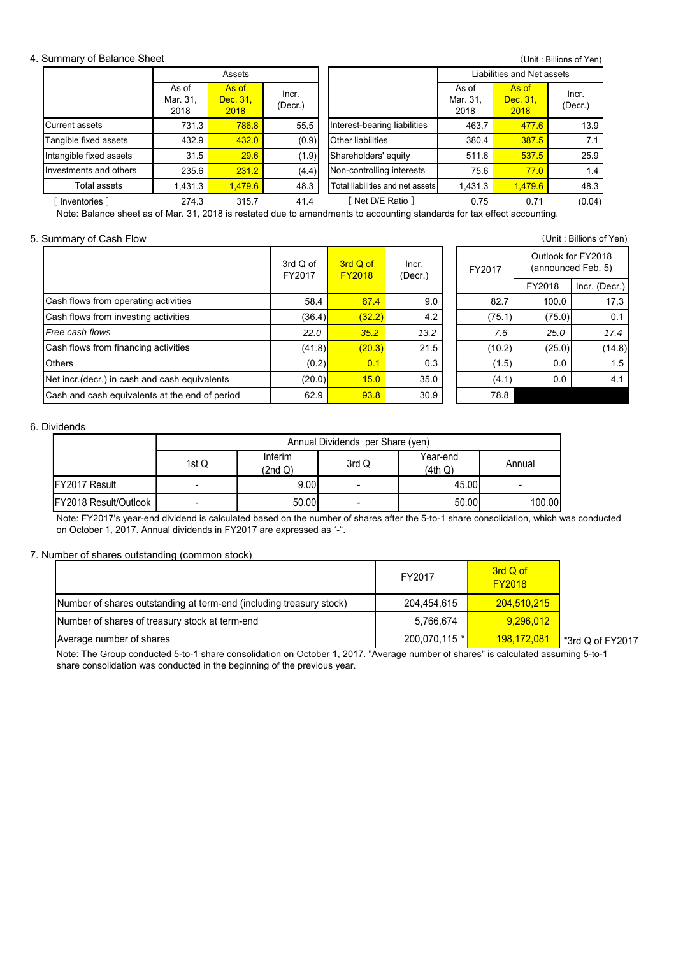## 4. Summary of Balance Sheet

|                         |                           | Assets                    |                  |                                  | Liabilities and Net assets |                           |                  |  |
|-------------------------|---------------------------|---------------------------|------------------|----------------------------------|----------------------------|---------------------------|------------------|--|
|                         | As of<br>Mar. 31,<br>2018 | As of<br>Dec. 31,<br>2018 | Incr.<br>(Decr.) |                                  | As of<br>Mar. 31.<br>2018  | As of<br>Dec. 31,<br>2018 | Incr.<br>(Decr.) |  |
| Current assets          | 731.3                     | 786.8                     | 55.5             | Interest-bearing liabilities     | 463.7                      | 477.6                     | 13.9             |  |
| Tangible fixed assets   | 432.9                     | 432.0                     | (0.9)            | <b>Other liabilities</b>         | 380.4                      | 387.5                     | 7.1              |  |
| Intangible fixed assets | 31.5                      | 29.6                      | (1.9)            | Shareholders' equity             | 511.6                      | 537.5                     | 25.9             |  |
| Investments and others  | 235.6                     | 231.2                     | (4.4)            | Non-controlling interests        | 75.6                       | 77.0                      | 1.4              |  |
| Total assets            | 1,431.3                   | 1.479.6                   | 48.3             | Total liabilities and net assets | 1,431.3                    | 1,479.6                   | 48.3             |  |
| Inventories 1           | 274.3                     | 315.7                     | 41.4             | Net D/E Ratio 1                  | 0.75                       | 0.71                      | (0.04)           |  |

Note: Balance sheet as of Mar. 31, 2018 is restated due to amendments to accounting standards for tax effect accounting.

#### 5. Summary of Cash Flow (Unit : Billions of Yen)

|                                                | 3rd Q of<br>FY2017 | 3rd Q of<br><b>FY2018</b> | Incr.<br>(Decr.) | FY2017 |        | Outlook for FY2018<br>(announced Feb. 5) |
|------------------------------------------------|--------------------|---------------------------|------------------|--------|--------|------------------------------------------|
|                                                |                    |                           |                  |        | FY2018 | Incr. (Decr.)                            |
| Cash flows from operating activities           | 58.4               | 67.4                      | 9.0              | 82.7   | 100.0  | 17.3                                     |
| Cash flows from investing activities           | (36.4)             | (32.2)                    | 4.2              | (75.1) | (75.0) | 0.1                                      |
| Free cash flows                                | 22.0               | 35.2                      | 13.2             | 7.6    | 25.0   | 17.4                                     |
| Cash flows from financing activities           | (41.8)             | (20.3)                    | 21.5             | (10.2) | (25.0) | (14.8)                                   |
| <b>Others</b>                                  | (0.2)              | 0.1                       | 0.3              | (1.5)  | 0.0    | 1.5                                      |
| Net incr. (decr.) in cash and cash equivalents | (20.0)             | 15.0                      | 35.0             | (4.1)  | 0.0    | 4.1                                      |
| Cash and cash equivalents at the end of period | 62.9               | 93.8                      | 30.9             | 78.8   |        |                                          |
|                                                |                    |                           |                  |        |        |                                          |

#### 6. Dividends

|                       | Annual Dividends per Share (yen) |                    |       |                     |        |  |  |
|-----------------------|----------------------------------|--------------------|-------|---------------------|--------|--|--|
|                       | 1st $Q$                          | Interim<br>(2nd Q) | 3rd Q | Year-end<br>(4th Q) | Annual |  |  |
| <b>IFY2017 Result</b> |                                  | 9.00               | -     | 45.00               |        |  |  |
| FY2018 Result/Outlook |                                  | 50.00              | -     | 50.00               | 100.00 |  |  |

Note: FY2017's year-end dividend is calculated based on the number of shares after the 5-to-1 share consolidation, which was conducted on October 1, 2017. Annual dividends in FY2017 are expressed as "-".

#### 7. Number of shares outstanding (common stock)

|                                                                     | FY2017        | 3rd Q of<br><b>FY2018</b> |                  |
|---------------------------------------------------------------------|---------------|---------------------------|------------------|
| Number of shares outstanding at term-end (including treasury stock) | 204,454,615   | 204,510,215               |                  |
| Number of shares of treasury stock at term-end                      | 5,766,674     | 9.296.012                 |                  |
| Average number of shares                                            | 200,070,115 * | <u>198,172,081</u>        | *3rd Q of FY2017 |

Note: The Group conducted 5-to-1 share consolidation on October 1, 2017. "Average number of shares" is calculated assuming 5-to-1 share consolidation was conducted in the beginning of the previous year.

(Unit : Billions of Yen)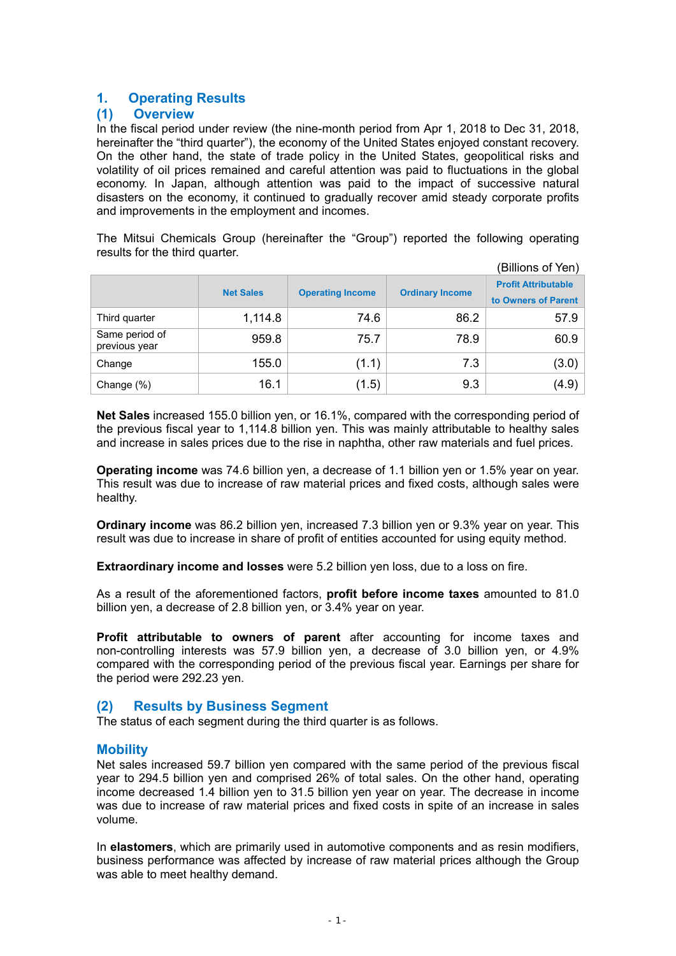# **1. Operating Results**

## **(1) Overview**

In the fiscal period under review (the nine-month period from Apr 1, 2018 to Dec 31, 2018, hereinafter the "third quarter"), the economy of the United States enjoyed constant recovery. On the other hand, the state of trade policy in the United States, geopolitical risks and volatility of oil prices remained and careful attention was paid to fluctuations in the global economy. In Japan, although attention was paid to the impact of successive natural disasters on the economy, it continued to gradually recover amid steady corporate profits and improvements in the employment and incomes.

The Mitsui Chemicals Group (hereinafter the "Group") reported the following operating results for the third quarter.

|                                 |                  |                         |                        | (Billions of Yen)                                 |
|---------------------------------|------------------|-------------------------|------------------------|---------------------------------------------------|
|                                 | <b>Net Sales</b> | <b>Operating Income</b> | <b>Ordinary Income</b> | <b>Profit Attributable</b><br>to Owners of Parent |
| Third quarter                   | 1,114.8          | 74.6                    | 86.2                   | 57.9                                              |
| Same period of<br>previous year | 959.8            | 75.7                    | 78.9                   | 60.9                                              |
| Change                          | 155.0            | (1.1)                   | 7.3                    | (3.0)                                             |
| Change (%)                      | 16.1             | (1.5)                   | 9.3                    | (4.9)                                             |

**Net Sales** increased 155.0 billion yen, or 16.1%, compared with the corresponding period of the previous fiscal year to 1,114.8 billion yen. This was mainly attributable to healthy sales and increase in sales prices due to the rise in naphtha, other raw materials and fuel prices.

**Operating income** was 74.6 billion yen, a decrease of 1.1 billion yen or 1.5% year on year. This result was due to increase of raw material prices and fixed costs, although sales were healthy.

**Ordinary income** was 86.2 billion yen, increased 7.3 billion yen or 9.3% year on year. This result was due to increase in share of profit of entities accounted for using equity method.

**Extraordinary income and losses** were 5.2 billion yen loss, due to a loss on fire.

As a result of the aforementioned factors, **profit before income taxes** amounted to 81.0 billion yen, a decrease of 2.8 billion yen, or 3.4% year on year.

**Profit attributable to owners of parent** after accounting for income taxes and non-controlling interests was 57.9 billion yen, a decrease of 3.0 billion yen, or 4.9% compared with the corresponding period of the previous fiscal year. Earnings per share for the period were 292.23 yen.

## **(2) Results by Business Segment**

The status of each segment during the third quarter is as follows.

## **Mobility**

Net sales increased 59.7 billion yen compared with the same period of the previous fiscal year to 294.5 billion yen and comprised 26% of total sales. On the other hand, operating income decreased 1.4 billion yen to 31.5 billion yen year on year. The decrease in income was due to increase of raw material prices and fixed costs in spite of an increase in sales volume.

In **elastomers**, which are primarily used in automotive components and as resin modifiers, business performance was affected by increase of raw material prices although the Group was able to meet healthy demand.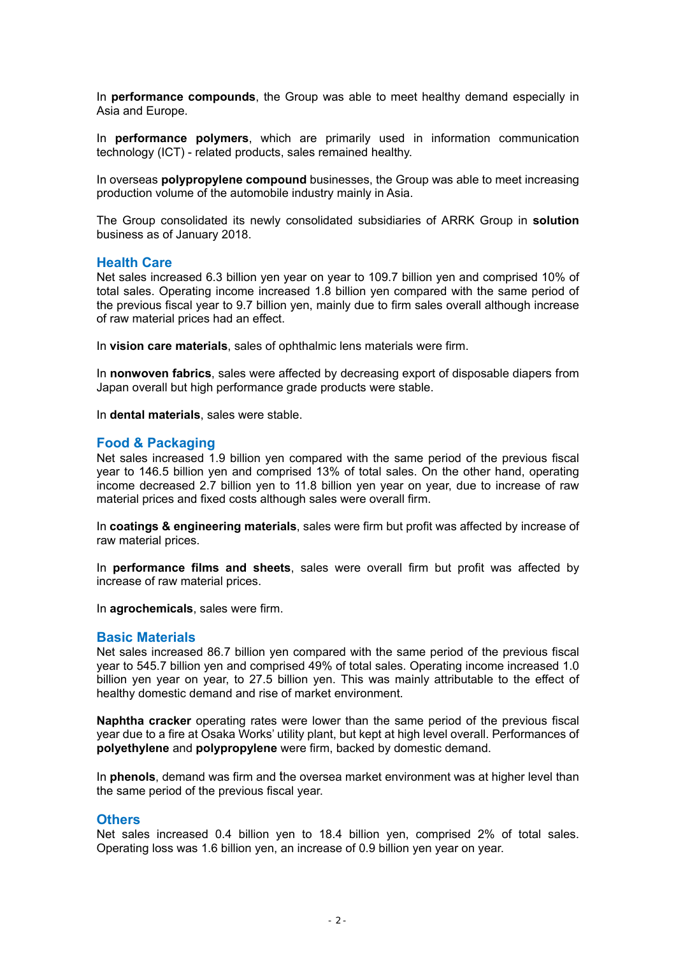In **performance compounds**, the Group was able to meet healthy demand especially in Asia and Europe.

In **performance polymers**, which are primarily used in information communication technology (ICT) - related products, sales remained healthy.

In overseas **polypropylene compound** businesses, the Group was able to meet increasing production volume of the automobile industry mainly in Asia.

The Group consolidated its newly consolidated subsidiaries of ARRK Group in **solution** business as of January 2018.

## **Health Care**

Net sales increased 6.3 billion yen year on year to 109.7 billion yen and comprised 10% of total sales. Operating income increased 1.8 billion yen compared with the same period of the previous fiscal year to 9.7 billion yen, mainly due to firm sales overall although increase of raw material prices had an effect.

In **vision care materials**, sales of ophthalmic lens materials were firm.

In **nonwoven fabrics**, sales were affected by decreasing export of disposable diapers from Japan overall but high performance grade products were stable.

In **dental materials**, sales were stable.

## **Food & Packaging**

Net sales increased 1.9 billion yen compared with the same period of the previous fiscal year to 146.5 billion yen and comprised 13% of total sales. On the other hand, operating income decreased 2.7 billion yen to 11.8 billion yen year on year, due to increase of raw material prices and fixed costs although sales were overall firm.

In **coatings & engineering materials**, sales were firm but profit was affected by increase of raw material prices.

In **performance films and sheets**, sales were overall firm but profit was affected by increase of raw material prices.

In **agrochemicals**, sales were firm.

## **Basic Materials**

Net sales increased 86.7 billion yen compared with the same period of the previous fiscal year to 545.7 billion yen and comprised 49% of total sales. Operating income increased 1.0 billion yen year on year, to 27.5 billion yen. This was mainly attributable to the effect of healthy domestic demand and rise of market environment.

**Naphtha cracker** operating rates were lower than the same period of the previous fiscal year due to a fire at Osaka Works' utility plant, but kept at high level overall. Performances of **polyethylene** and **polypropylene** were firm, backed by domestic demand.

In **phenols**, demand was firm and the oversea market environment was at higher level than the same period of the previous fiscal year.

## **Others**

Net sales increased 0.4 billion yen to 18.4 billion yen, comprised 2% of total sales. Operating loss was 1.6 billion yen, an increase of 0.9 billion yen year on year.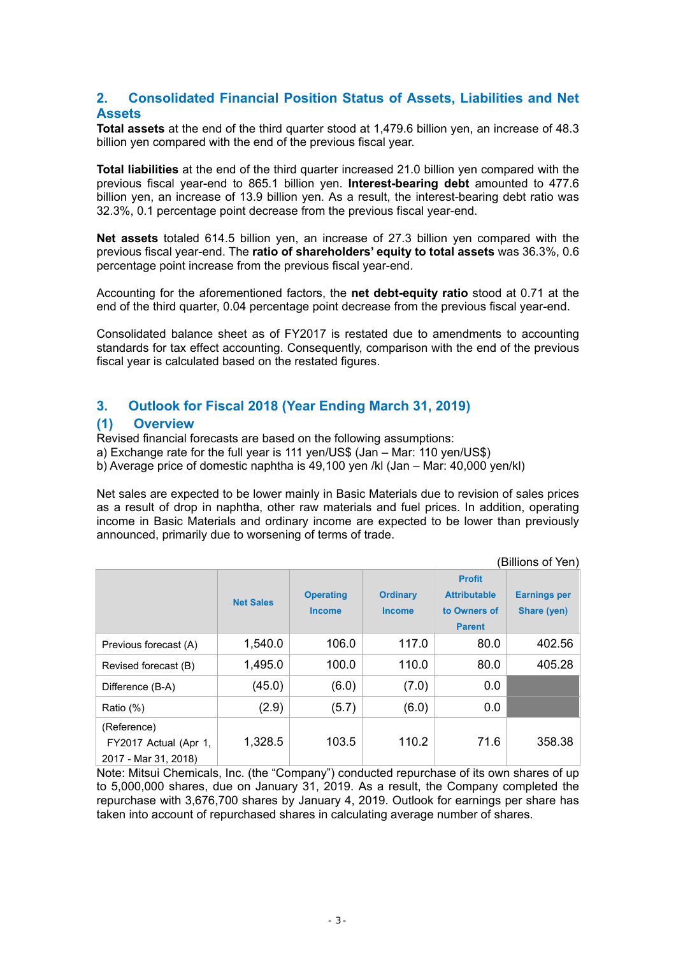## **2. Consolidated Financial Position Status of Assets, Liabilities and Net Assets**

**Total assets** at the end of the third quarter stood at 1,479.6 billion yen, an increase of 48.3 billion yen compared with the end of the previous fiscal year.

**Total liabilities** at the end of the third quarter increased 21.0 billion yen compared with the previous fiscal year-end to 865.1 billion yen. **Interest-bearing debt** amounted to 477.6 billion yen, an increase of 13.9 billion yen. As a result, the interest-bearing debt ratio was 32.3%, 0.1 percentage point decrease from the previous fiscal year-end.

**Net assets** totaled 614.5 billion yen, an increase of 27.3 billion yen compared with the previous fiscal year-end. The **ratio of shareholders' equity to total assets** was 36.3%, 0.6 percentage point increase from the previous fiscal year-end.

Accounting for the aforementioned factors, the **net debt-equity ratio** stood at 0.71 at the end of the third quarter, 0.04 percentage point decrease from the previous fiscal year-end.

Consolidated balance sheet as of FY2017 is restated due to amendments to accounting standards for tax effect accounting. Consequently, comparison with the end of the previous fiscal year is calculated based on the restated figures.

## **3. Outlook for Fiscal 2018 (Year Ending March 31, 2019)**

## **(1) Overview**

Revised financial forecasts are based on the following assumptions:

a) Exchange rate for the full year is 111 yen/US\$ (Jan – Mar: 110 yen/US\$)

b) Average price of domestic naphtha is 49,100 yen /kl (Jan – Mar: 40,000 yen/kl)

Net sales are expected to be lower mainly in Basic Materials due to revision of sales prices as a result of drop in naphtha, other raw materials and fuel prices. In addition, operating income in Basic Materials and ordinary income are expected to be lower than previously announced, primarily due to worsening of terms of trade.

(Billions of Yen)

|                                                              | <b>Net Sales</b> | <b>Operating</b><br><b>Income</b> | <b>Ordinary</b><br><b>Income</b> | <b>Profit</b><br><b>Attributable</b><br>to Owners of<br><b>Parent</b> | <b>Earnings per</b><br>Share (yen) |
|--------------------------------------------------------------|------------------|-----------------------------------|----------------------------------|-----------------------------------------------------------------------|------------------------------------|
| Previous forecast (A)                                        | 1,540.0          | 106.0                             | 117.0                            | 80.0                                                                  | 402.56                             |
| Revised forecast (B)                                         | 1,495.0          | 100.0                             | 110.0                            | 80.0                                                                  | 405.28                             |
| Difference (B-A)                                             | (45.0)           | (6.0)                             | (7.0)                            | 0.0                                                                   |                                    |
| Ratio (%)                                                    | (2.9)            | (5.7)                             | (6.0)                            | 0.0                                                                   |                                    |
| (Reference)<br>FY2017 Actual (Apr 1,<br>2017 - Mar 31, 2018) | 1,328.5          | 103.5                             | 110.2                            | 71.6                                                                  | 358.38                             |

Note: Mitsui Chemicals, Inc. (the "Company") conducted repurchase of its own shares of up to 5,000,000 shares, due on January 31, 2019. As a result, the Company completed the repurchase with 3,676,700 shares by January 4, 2019. Outlook for earnings per share has taken into account of repurchased shares in calculating average number of shares.